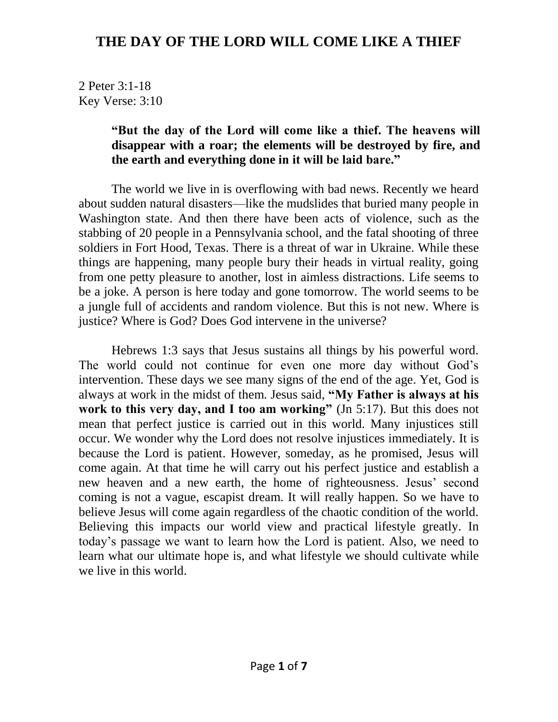2 Peter 3:1-18 Key Verse: 3:10

#### **"But the day of the Lord will come like a thief. The heavens will disappear with a roar; the elements will be destroyed by fire, and the earth and everything done in it will be laid bare."**

The world we live in is overflowing with bad news. Recently we heard about sudden natural disasters—like the mudslides that buried many people in Washington state. And then there have been acts of violence, such as the stabbing of 20 people in a Pennsylvania school, and the fatal shooting of three soldiers in Fort Hood, Texas. There is a threat of war in Ukraine. While these things are happening, many people bury their heads in virtual reality, going from one petty pleasure to another, lost in aimless distractions. Life seems to be a joke. A person is here today and gone tomorrow. The world seems to be a jungle full of accidents and random violence. But this is not new. Where is justice? Where is God? Does God intervene in the universe?

Hebrews 1:3 says that Jesus sustains all things by his powerful word. The world could not continue for even one more day without God's intervention. These days we see many signs of the end of the age. Yet, God is always at work in the midst of them. Jesus said, **"My Father is always at his**  work to this very day, and I too am working" (Jn 5:17). But this does not mean that perfect justice is carried out in this world. Many injustices still occur. We wonder why the Lord does not resolve injustices immediately. It is because the Lord is patient. However, someday, as he promised, Jesus will come again. At that time he will carry out his perfect justice and establish a new heaven and a new earth, the home of righteousness. Jesus' second coming is not a vague, escapist dream. It will really happen. So we have to believe Jesus will come again regardless of the chaotic condition of the world. Believing this impacts our world view and practical lifestyle greatly. In today's passage we want to learn how the Lord is patient. Also, we need to learn what our ultimate hope is, and what lifestyle we should cultivate while we live in this world.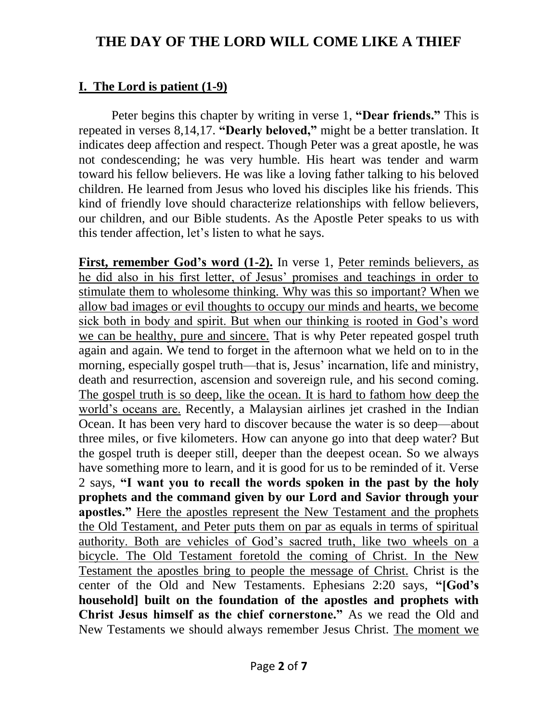#### **I. The Lord is patient (1-9)**

Peter begins this chapter by writing in verse 1, **"Dear friends."** This is repeated in verses 8,14,17. **"Dearly beloved,"** might be a better translation. It indicates deep affection and respect. Though Peter was a great apostle, he was not condescending; he was very humble. His heart was tender and warm toward his fellow believers. He was like a loving father talking to his beloved children. He learned from Jesus who loved his disciples like his friends. This kind of friendly love should characterize relationships with fellow believers, our children, and our Bible students. As the Apostle Peter speaks to us with this tender affection, let's listen to what he says.

**First, remember God's word (1-2).** In verse 1, Peter reminds believers, as he did also in his first letter, of Jesus' promises and teachings in order to stimulate them to wholesome thinking. Why was this so important? When we allow bad images or evil thoughts to occupy our minds and hearts, we become sick both in body and spirit. But when our thinking is rooted in God's word we can be healthy, pure and sincere. That is why Peter repeated gospel truth again and again. We tend to forget in the afternoon what we held on to in the morning, especially gospel truth—that is, Jesus' incarnation, life and ministry, death and resurrection, ascension and sovereign rule, and his second coming. The gospel truth is so deep, like the ocean. It is hard to fathom how deep the world's oceans are. Recently, a Malaysian airlines jet crashed in the Indian Ocean. It has been very hard to discover because the water is so deep—about three miles, or five kilometers. How can anyone go into that deep water? But the gospel truth is deeper still, deeper than the deepest ocean. So we always have something more to learn, and it is good for us to be reminded of it. Verse 2 says, **"I want you to recall the words spoken in the past by the holy prophets and the command given by our Lord and Savior through your apostles."** Here the apostles represent the New Testament and the prophets the Old Testament, and Peter puts them on par as equals in terms of spiritual authority. Both are vehicles of God's sacred truth, like two wheels on a bicycle. The Old Testament foretold the coming of Christ. In the New Testament the apostles bring to people the message of Christ. Christ is the center of the Old and New Testaments. Ephesians 2:20 says, **"[God's household] built on the foundation of the apostles and prophets with Christ Jesus himself as the chief cornerstone."** As we read the Old and New Testaments we should always remember Jesus Christ. The moment we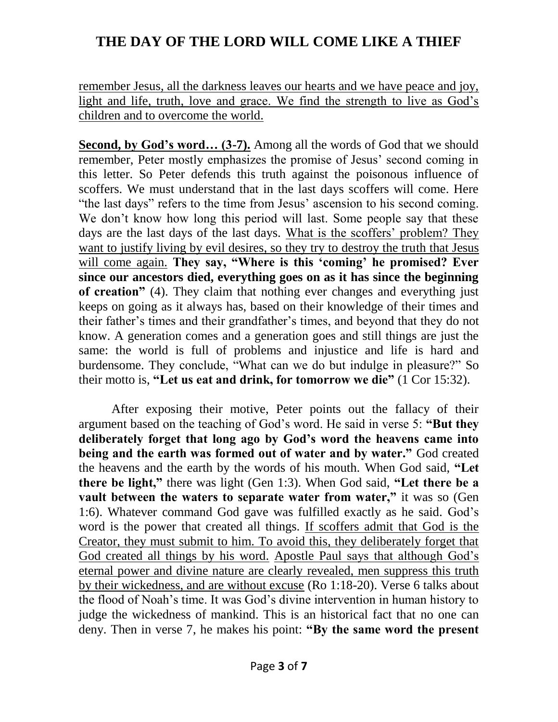remember Jesus, all the darkness leaves our hearts and we have peace and joy, light and life, truth, love and grace. We find the strength to live as God's children and to overcome the world.

**Second, by God's word… (3-7).** Among all the words of God that we should remember, Peter mostly emphasizes the promise of Jesus' second coming in this letter. So Peter defends this truth against the poisonous influence of scoffers. We must understand that in the last days scoffers will come. Here "the last days" refers to the time from Jesus' ascension to his second coming. We don't know how long this period will last. Some people say that these days are the last days of the last days. What is the scoffers' problem? They want to justify living by evil desires, so they try to destroy the truth that Jesus will come again. **They say, "Where is this 'coming' he promised? Ever since our ancestors died, everything goes on as it has since the beginning of creation"** (4). They claim that nothing ever changes and everything just keeps on going as it always has, based on their knowledge of their times and their father's times and their grandfather's times, and beyond that they do not know. A generation comes and a generation goes and still things are just the same: the world is full of problems and injustice and life is hard and burdensome. They conclude, "What can we do but indulge in pleasure?" So their motto is, **"Let us eat and drink, for tomorrow we die"** (1 Cor 15:32).

After exposing their motive, Peter points out the fallacy of their argument based on the teaching of God's word. He said in verse 5: **"But they deliberately forget that long ago by God's word the heavens came into being and the earth was formed out of water and by water."** God created the heavens and the earth by the words of his mouth. When God said, **"Let there be light,"** there was light (Gen 1:3). When God said, **"Let there be a vault between the waters to separate water from water,"** it was so (Gen 1:6). Whatever command God gave was fulfilled exactly as he said. God's word is the power that created all things. If scoffers admit that God is the Creator, they must submit to him. To avoid this, they deliberately forget that God created all things by his word. Apostle Paul says that although God's eternal power and divine nature are clearly revealed, men suppress this truth by their wickedness, and are without excuse (Ro 1:18-20). Verse 6 talks about the flood of Noah's time. It was God's divine intervention in human history to judge the wickedness of mankind. This is an historical fact that no one can deny. Then in verse 7, he makes his point: **"By the same word the present**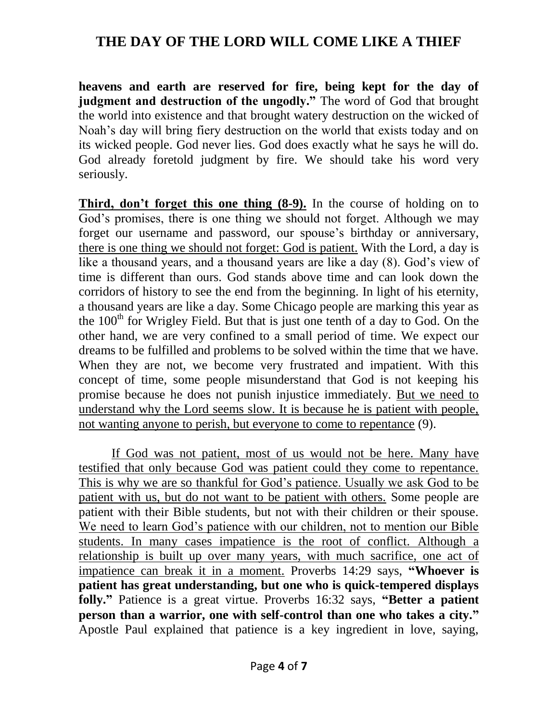**heavens and earth are reserved for fire, being kept for the day of judgment and destruction of the ungodly."** The word of God that brought the world into existence and that brought watery destruction on the wicked of Noah's day will bring fiery destruction on the world that exists today and on its wicked people. God never lies. God does exactly what he says he will do. God already foretold judgment by fire. We should take his word very seriously.

**Third, don't forget this one thing (8-9).** In the course of holding on to God's promises, there is one thing we should not forget. Although we may forget our username and password, our spouse's birthday or anniversary, there is one thing we should not forget: God is patient. With the Lord, a day is like a thousand years, and a thousand years are like a day (8). God's view of time is different than ours. God stands above time and can look down the corridors of history to see the end from the beginning. In light of his eternity, a thousand years are like a day. Some Chicago people are marking this year as the  $100<sup>th</sup>$  for Wrigley Field. But that is just one tenth of a day to God. On the other hand, we are very confined to a small period of time. We expect our dreams to be fulfilled and problems to be solved within the time that we have. When they are not, we become very frustrated and impatient. With this concept of time, some people misunderstand that God is not keeping his promise because he does not punish injustice immediately. But we need to understand why the Lord seems slow. It is because he is patient with people, not wanting anyone to perish, but everyone to come to repentance (9).

If God was not patient, most of us would not be here. Many have testified that only because God was patient could they come to repentance. This is why we are so thankful for God's patience. Usually we ask God to be patient with us, but do not want to be patient with others. Some people are patient with their Bible students, but not with their children or their spouse. We need to learn God's patience with our children, not to mention our Bible students. In many cases impatience is the root of conflict. Although a relationship is built up over many years, with much sacrifice, one act of impatience can break it in a moment. Proverbs 14:29 says, **"Whoever is patient has great understanding, but one who is quick-tempered displays folly."** Patience is a great virtue. Proverbs 16:32 says, **"Better a patient person than a warrior, one with self-control than one who takes a city."** Apostle Paul explained that patience is a key ingredient in love, saying,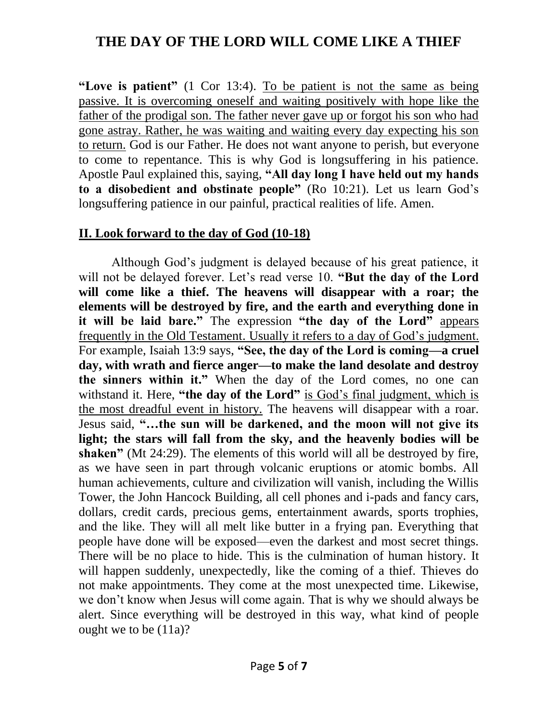**"Love is patient"** (1 Cor 13:4). To be patient is not the same as being passive. It is overcoming oneself and waiting positively with hope like the father of the prodigal son. The father never gave up or forgot his son who had gone astray. Rather, he was waiting and waiting every day expecting his son to return. God is our Father. He does not want anyone to perish, but everyone to come to repentance. This is why God is longsuffering in his patience. Apostle Paul explained this, saying, **"All day long I have held out my hands to a disobedient and obstinate people"** (Ro 10:21). Let us learn God's longsuffering patience in our painful, practical realities of life. Amen.

#### **II. Look forward to the day of God (10-18)**

Although God's judgment is delayed because of his great patience, it will not be delayed forever. Let's read verse 10. **"But the day of the Lord will come like a thief. The heavens will disappear with a roar; the elements will be destroyed by fire, and the earth and everything done in it will be laid bare."** The expression **"the day of the Lord"** appears frequently in the Old Testament. Usually it refers to a day of God's judgment. For example, Isaiah 13:9 says, **"See, the day of the Lord is coming—a cruel day, with wrath and fierce anger—to make the land desolate and destroy the sinners within it."** When the day of the Lord comes, no one can withstand it. Here, **"the day of the Lord"** is God's final judgment, which is the most dreadful event in history. The heavens will disappear with a roar. Jesus said, **"…the sun will be darkened, and the moon will not give its light; the stars will fall from the sky, and the heavenly bodies will be shaken"** (Mt 24:29). The elements of this world will all be destroyed by fire, as we have seen in part through volcanic eruptions or atomic bombs. All human achievements, culture and civilization will vanish, including the Willis Tower, the John Hancock Building, all cell phones and i-pads and fancy cars, dollars, credit cards, precious gems, entertainment awards, sports trophies, and the like. They will all melt like butter in a frying pan. Everything that people have done will be exposed—even the darkest and most secret things. There will be no place to hide. This is the culmination of human history. It will happen suddenly, unexpectedly, like the coming of a thief. Thieves do not make appointments. They come at the most unexpected time. Likewise, we don't know when Jesus will come again. That is why we should always be alert. Since everything will be destroyed in this way, what kind of people ought we to be (11a)?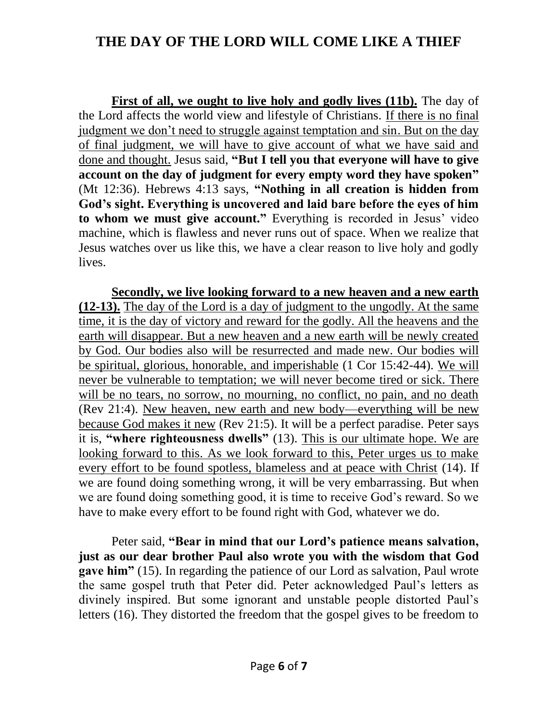**First of all, we ought to live holy and godly lives (11b).** The day of the Lord affects the world view and lifestyle of Christians. If there is no final judgment we don't need to struggle against temptation and sin. But on the day of final judgment, we will have to give account of what we have said and done and thought. Jesus said, **"But I tell you that everyone will have to give account on the day of judgment for every empty word they have spoken"** (Mt 12:36). Hebrews 4:13 says, **"Nothing in all creation is hidden from God's sight. Everything is uncovered and laid bare before the eyes of him to whom we must give account."** Everything is recorded in Jesus' video machine, which is flawless and never runs out of space. When we realize that Jesus watches over us like this, we have a clear reason to live holy and godly lives.

**Secondly, we live looking forward to a new heaven and a new earth (12-13).** The day of the Lord is a day of judgment to the ungodly. At the same time, it is the day of victory and reward for the godly. All the heavens and the earth will disappear. But a new heaven and a new earth will be newly created by God. Our bodies also will be resurrected and made new. Our bodies will be spiritual, glorious, honorable, and imperishable (1 Cor 15:42-44). We will never be vulnerable to temptation; we will never become tired or sick. There will be no tears, no sorrow, no mourning, no conflict, no pain, and no death (Rev 21:4). New heaven, new earth and new body—everything will be new because God makes it new (Rev 21:5). It will be a perfect paradise. Peter says it is, **"where righteousness dwells"** (13). This is our ultimate hope. We are looking forward to this. As we look forward to this, Peter urges us to make every effort to be found spotless, blameless and at peace with Christ (14). If we are found doing something wrong, it will be very embarrassing. But when we are found doing something good, it is time to receive God's reward. So we have to make every effort to be found right with God, whatever we do.

Peter said, **"Bear in mind that our Lord's patience means salvation, just as our dear brother Paul also wrote you with the wisdom that God gave him**" (15). In regarding the patience of our Lord as salvation, Paul wrote the same gospel truth that Peter did. Peter acknowledged Paul's letters as divinely inspired. But some ignorant and unstable people distorted Paul's letters (16). They distorted the freedom that the gospel gives to be freedom to